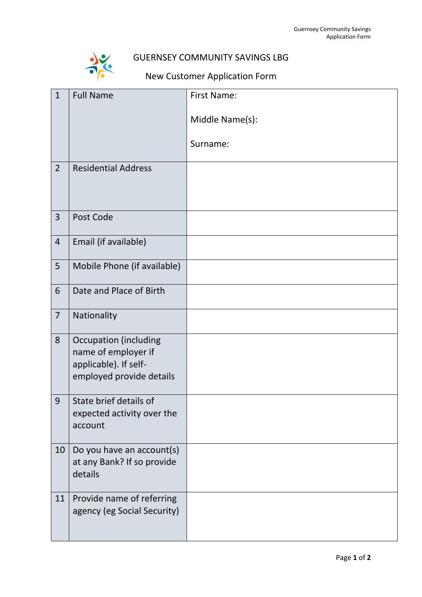

## GUERNSEY COMMUNITY SAVINGS LBG

## New Customer Application Form

| $\mathbf{1}$   | <b>Full Name</b>                                     | <b>First Name:</b> |
|----------------|------------------------------------------------------|--------------------|
|                |                                                      | Middle Name(s):    |
|                |                                                      |                    |
|                |                                                      | Surname:           |
| $\overline{2}$ | <b>Residential Address</b>                           |                    |
|                |                                                      |                    |
| $\overline{3}$ | Post Code                                            |                    |
|                |                                                      |                    |
| $\overline{4}$ | Email (if available)                                 |                    |
| 5 <sup>5</sup> | Mobile Phone (if available)                          |                    |
| 6              | Date and Place of Birth                              |                    |
| $\overline{7}$ | Nationality                                          |                    |
| 8              | <b>Occupation (including</b>                         |                    |
|                | name of employer if<br>applicable). If self-         |                    |
|                | employed provide details                             |                    |
|                |                                                      |                    |
| 9              | State brief details of<br>expected activity over the |                    |
|                | account                                              |                    |
| 10             | Do you have an account(s)                            |                    |
|                | at any Bank? If so provide                           |                    |
|                | details                                              |                    |
| 11             | Provide name of referring                            |                    |
|                | agency (eg Social Security)                          |                    |
|                |                                                      |                    |